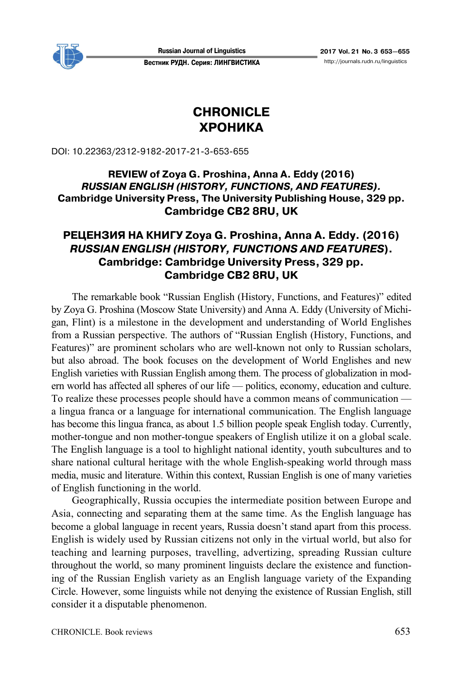

#### Вестник РУДН. Серия: ЛИНГВИСТИКА http://journals.rudn.ru/linguistics

# **CHRONICLE ХРОНИКА**

DOI: 10.22363/2312-9182-2017-21-3-653-655

### **REVIEW of Zoya G. Proshina, Anna A. Eddy (2016)**  *RUSSIAN ENGLISH (HISTORY, FUNCTIONS, AND FEATURES).*  **Cambridge University Press, The University Publishing House, 329 pp. Cambridge CB2 8RU, UK**

## **РЕЦЕНЗИЯ НА КНИГУ Zoya G. Proshina, Anna A. Eddy. (2016)**  *RUSSIAN ENGLISH (HISTORY, FUNCTIONS AND FEATURES***). Cambridge: Cambridge University Press, 329 pp. Cambridge CB2 8RU, UK**

The remarkable book "Russian English (History, Functions, and Features)" edited by Zoya G. Proshina (Moscow State University) and Anna A. Eddy (University of Michigan, Flint) is a milestone in the development and understanding of World Englishes from a Russian perspective. The authors of "Russian English (History, Functions, and Features)" are prominent scholars who are well-known not only to Russian scholars, but also abroad. The book focuses on the development of World Englishes and new English varieties with Russian English among them. The process of globalization in modern world has affected all spheres of our life — politics, economy, education and culture. To realize these processes people should have a common means of communication a lingua franca or a language for international communication. The English language has become this lingua franca, as about 1.5 billion people speak English today. Currently, mother-tongue and non mother-tongue speakers of English utilize it on a global scale. The English language is a tool to highlight national identity, youth subcultures and to share national cultural heritage with the whole English-speaking world through mass media, music and literature. Within this context, Russian English is one of many varieties of English functioning in the world.

Geographically, Russia occupies the intermediate position between Europe and Asia, connecting and separating them at the same time. As the English language has become a global language in recent years, Russia doesn't stand apart from this process. English is widely used by Russian citizens not only in the virtual world, but also for teaching and learning purposes, travelling, advertizing, spreading Russian culture throughout the world, so many prominent linguists declare the existence and functioning of the Russian English variety as an English language variety of the Expanding Circle. However, some linguists while not denying the existence of Russian English, still consider it a disputable phenomenon.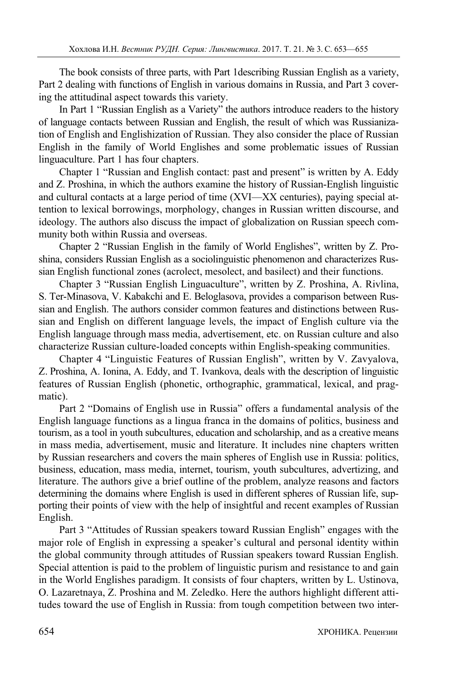The book consists of three parts, with Part 1describing Russian English as a variety, Part 2 dealing with functions of English in various domains in Russia, and Part 3 covering the attitudinal aspect towards this variety.

In Part 1 "Russian English as a Variety" the authors introduce readers to the history of language contacts between Russian and English, the result of which was Russianization of English and Englishization of Russian. They also consider the place of Russian English in the family of World Englishes and some problematic issues of Russian linguaculture. Part 1 has four chapters.

Chapter 1 "Russian and English contact: past and present" is written by A. Eddy and Z. Proshina, in which the authors examine the history of Russian-English linguistic and cultural contacts at a large period of time (XVI—XX centuries), paying special attention to lexical borrowings, morphology, changes in Russian written discourse, and ideology. The authors also discuss the impact of globalization on Russian speech community both within Russia and overseas.

Chapter 2 "Russian English in the family of World Englishes", written by Z. Proshina, considers Russian English as a sociolinguistic phenomenon and characterizes Russian English functional zones (acrolect, mesolect, and basilect) and their functions.

Chapter 3 "Russian English Linguaculture", written by Z. Proshina, A. Rivlina, S. Ter-Minasova, V. Kabakchi and E. Beloglasova, provides a comparison between Russian and English. The authors consider common features and distinctions between Russian and English on different language levels, the impact of English culture via the English language through mass media, advertisement, etc. on Russian culture and also characterize Russian culture-loaded concepts within English-speaking communities.

Chapter 4 "Linguistic Features of Russian English", written by V. Zavyalova, Z. Proshina, A. Ionina, A. Eddy, and T. Ivankova, deals with the description of linguistic features of Russian English (phonetic, orthographic, grammatical, lexical, and pragmatic).

Part 2 "Domains of English use in Russia" offers a fundamental analysis of the English language functions as a lingua franca in the domains of politics, business and tourism, as a tool in youth subcultures, education and scholarship, and as a creative means in mass media, advertisement, music and literature. It includes nine chapters written by Russian researchers and covers the main spheres of English use in Russia: politics, business, education, mass media, internet, tourism, youth subcultures, advertizing, and literature. The authors give a brief outline of the problem, analyze reasons and factors determining the domains where English is used in different spheres of Russian life, supporting their points of view with the help of insightful and recent examples of Russian English.

Part 3 "Attitudes of Russian speakers toward Russian English" engages with the major role of English in expressing a speaker's cultural and personal identity within the global community through attitudes of Russian speakers toward Russian English. Special attention is paid to the problem of linguistic purism and resistance to and gain in the World Englishes paradigm. It consists of four chapters, written by L. Ustinova, O. Lazaretnaya, Z. Proshina and M. Zeledko. Here the authors highlight different attitudes toward the use of English in Russia: from tough competition between two inter-